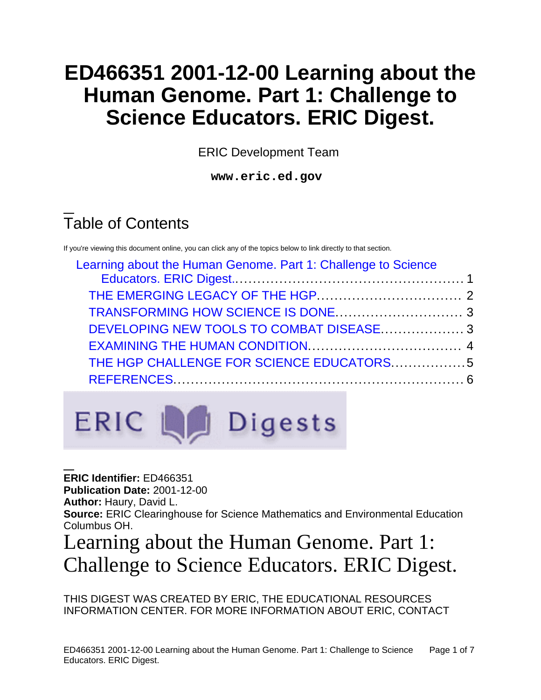# **ED466351 2001-12-00 Learning about the Human Genome. Part 1: Challenge to Science Educators. ERIC Digest.**

ERIC Development Team

**www.eric.ed.gov**

# Table of Contents

If you're viewing this document online, you can click any of the topics below to link directly to that section.

| Learning about the Human Genome. Part 1: Challenge to Science |  |
|---------------------------------------------------------------|--|
|                                                               |  |
|                                                               |  |
|                                                               |  |
|                                                               |  |
|                                                               |  |
| THE HGP CHALLENGE FOR SCIENCE EDUCATORS5                      |  |
|                                                               |  |
|                                                               |  |



**ERIC Identifier:** ED466351 **Publication Date:** 2001-12-00 **Author:** Haury, David L. **Source:** ERIC Clearinghouse for Science Mathematics and Environmental Education Columbus OH.

# <span id="page-0-0"></span>Learning about the Human Genome. Part 1: Challenge to Science Educators. ERIC Digest.

THIS DIGEST WAS CREATED BY ERIC, THE EDUCATIONAL RESOURCES INFORMATION CENTER. FOR MORE INFORMATION ABOUT ERIC, CONTACT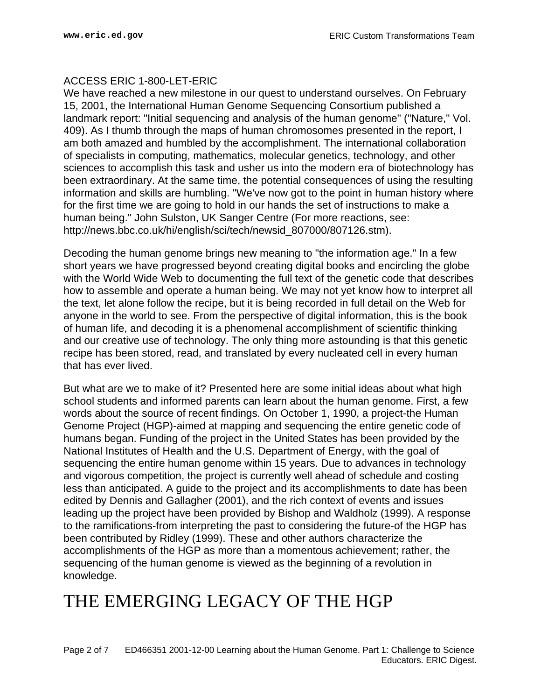## ACCESS ERIC 1-800-LET-ERIC

We have reached a new milestone in our quest to understand ourselves. On February 15, 2001, the International Human Genome Sequencing Consortium published a landmark report: "Initial sequencing and analysis of the human genome" ("Nature," Vol. 409). As I thumb through the maps of human chromosomes presented in the report, I am both amazed and humbled by the accomplishment. The international collaboration of specialists in computing, mathematics, molecular genetics, technology, and other sciences to accomplish this task and usher us into the modern era of biotechnology has been extraordinary. At the same time, the potential consequences of using the resulting information and skills are humbling. "We've now got to the point in human history where for the first time we are going to hold in our hands the set of instructions to make a human being." John Sulston, UK Sanger Centre (For more reactions, see: http://news.bbc.co.uk/hi/english/sci/tech/newsid\_807000/807126.stm).

Decoding the human genome brings new meaning to "the information age." In a few short years we have progressed beyond creating digital books and encircling the globe with the World Wide Web to documenting the full text of the genetic code that describes how to assemble and operate a human being. We may not yet know how to interpret all the text, let alone follow the recipe, but it is being recorded in full detail on the Web for anyone in the world to see. From the perspective of digital information, this is the book of human life, and decoding it is a phenomenal accomplishment of scientific thinking and our creative use of technology. The only thing more astounding is that this genetic recipe has been stored, read, and translated by every nucleated cell in every human that has ever lived.

But what are we to make of it? Presented here are some initial ideas about what high school students and informed parents can learn about the human genome. First, a few words about the source of recent findings. On October 1, 1990, a project-the Human Genome Project (HGP)-aimed at mapping and sequencing the entire genetic code of humans began. Funding of the project in the United States has been provided by the National Institutes of Health and the U.S. Department of Energy, with the goal of sequencing the entire human genome within 15 years. Due to advances in technology and vigorous competition, the project is currently well ahead of schedule and costing less than anticipated. A guide to the project and its accomplishments to date has been edited by Dennis and Gallagher (2001), and the rich context of events and issues leading up the project have been provided by Bishop and Waldholz (1999). A response to the ramifications-from interpreting the past to considering the future-of the HGP has been contributed by Ridley (1999). These and other authors characterize the accomplishments of the HGP as more than a momentous achievement; rather, the sequencing of the human genome is viewed as the beginning of a revolution in knowledge.

## <span id="page-1-0"></span>THE EMERGING LEGACY OF THE HGP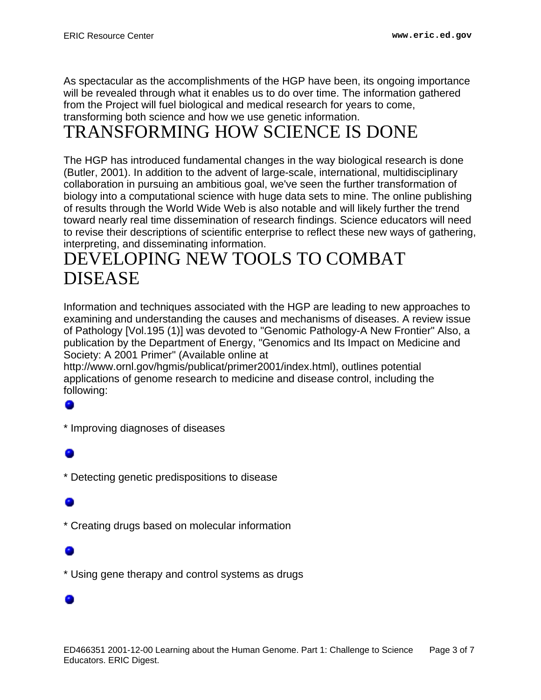As spectacular as the accomplishments of the HGP have been, its ongoing importance will be revealed through what it enables us to do over time. The information gathered from the Project will fuel biological and medical research for years to come, transforming both science and how we use genetic information.

## <span id="page-2-0"></span>TRANSFORMING HOW SCIENCE IS DONE

The HGP has introduced fundamental changes in the way biological research is done (Butler, 2001). In addition to the advent of large-scale, international, multidisciplinary collaboration in pursuing an ambitious goal, we've seen the further transformation of biology into a computational science with huge data sets to mine. The online publishing of results through the World Wide Web is also notable and will likely further the trend toward nearly real time dissemination of research findings. Science educators will need to revise their descriptions of scientific enterprise to reflect these new ways of gathering, interpreting, and disseminating information.

## <span id="page-2-1"></span>DEVELOPING NEW TOOLS TO COMBAT DISEASE

Information and techniques associated with the HGP are leading to new approaches to examining and understanding the causes and mechanisms of diseases. A review issue of Pathology [Vol.195 (1)] was devoted to "Genomic Pathology-A New Frontier" Also, a publication by the Department of Energy, "Genomics and Its Impact on Medicine and Society: A 2001 Primer" (Available online at

http://www.ornl.gov/hgmis/publicat/primer2001/index.html), outlines potential applications of genome research to medicine and disease control, including the following:

\* Improving diagnoses of diseases

\* Detecting genetic predispositions to disease

\* Creating drugs based on molecular information

\* Using gene therapy and control systems as drugs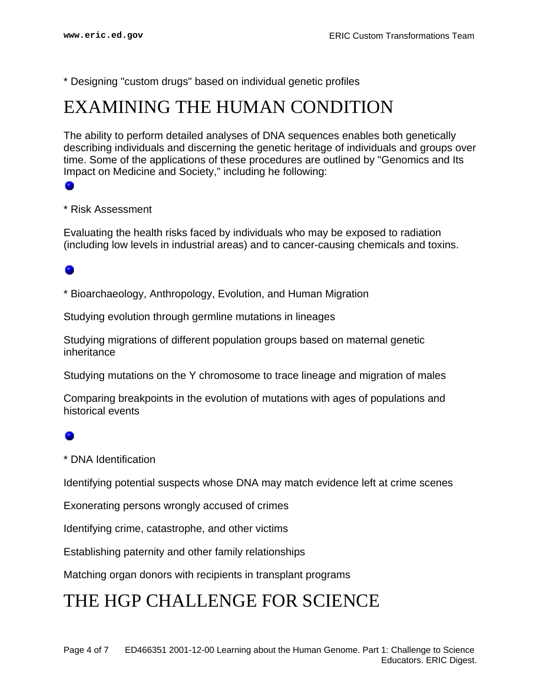\* Designing "custom drugs" based on individual genetic profiles

## <span id="page-3-0"></span>EXAMINING THE HUMAN CONDITION

The ability to perform detailed analyses of DNA sequences enables both genetically describing individuals and discerning the genetic heritage of individuals and groups over time. Some of the applications of these procedures are outlined by "Genomics and Its Impact on Medicine and Society," including he following:

## \* Risk Assessment

Evaluating the health risks faced by individuals who may be exposed to radiation (including low levels in industrial areas) and to cancer-causing chemicals and toxins.

## ۰

\* Bioarchaeology, Anthropology, Evolution, and Human Migration

Studying evolution through germline mutations in lineages

Studying migrations of different population groups based on maternal genetic inheritance

Studying mutations on the Y chromosome to trace lineage and migration of males

Comparing breakpoints in the evolution of mutations with ages of populations and historical events

\* DNA Identification

Identifying potential suspects whose DNA may match evidence left at crime scenes

Exonerating persons wrongly accused of crimes

Identifying crime, catastrophe, and other victims

Establishing paternity and other family relationships

Matching organ donors with recipients in transplant programs

## THE HGP CHALLENGE FOR SCIENCE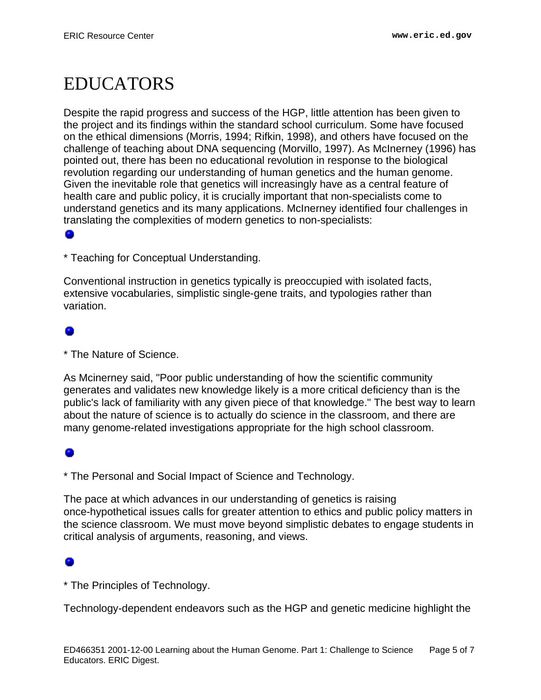# <span id="page-4-0"></span>EDUCATORS

Despite the rapid progress and success of the HGP, little attention has been given to the project and its findings within the standard school curriculum. Some have focused on the ethical dimensions (Morris, 1994; Rifkin, 1998), and others have focused on the challenge of teaching about DNA sequencing (Morvillo, 1997). As McInerney (1996) has pointed out, there has been no educational revolution in response to the biological revolution regarding our understanding of human genetics and the human genome. Given the inevitable role that genetics will increasingly have as a central feature of health care and public policy, it is crucially important that non-specialists come to understand genetics and its many applications. McInerney identified four challenges in translating the complexities of modern genetics to non-specialists:

\* Teaching for Conceptual Understanding.

Conventional instruction in genetics typically is preoccupied with isolated facts, extensive vocabularies, simplistic single-gene traits, and typologies rather than variation.

\* The Nature of Science.

As Mcinerney said, "Poor public understanding of how the scientific community generates and validates new knowledge likely is a more critical deficiency than is the public's lack of familiarity with any given piece of that knowledge." The best way to learn about the nature of science is to actually do science in the classroom, and there are many genome-related investigations appropriate for the high school classroom.

\* The Personal and Social Impact of Science and Technology.

The pace at which advances in our understanding of genetics is raising once-hypothetical issues calls for greater attention to ethics and public policy matters in the science classroom. We must move beyond simplistic debates to engage students in critical analysis of arguments, reasoning, and views.

\* The Principles of Technology.

Technology-dependent endeavors such as the HGP and genetic medicine highlight the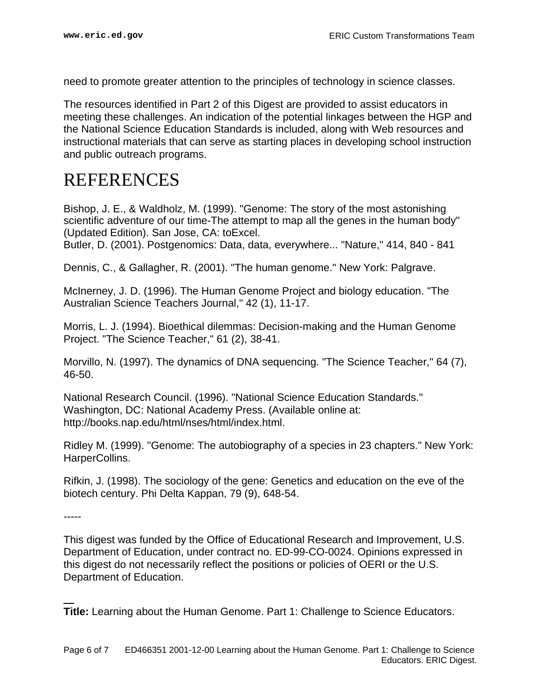need to promote greater attention to the principles of technology in science classes.

The resources identified in Part 2 of this Digest are provided to assist educators in meeting these challenges. An indication of the potential linkages between the HGP and the National Science Education Standards is included, along with Web resources and instructional materials that can serve as starting places in developing school instruction and public outreach programs.

## <span id="page-5-0"></span>REFERENCES

Bishop, J. E., & Waldholz, M. (1999). "Genome: The story of the most astonishing scientific adventure of our time-The attempt to map all the genes in the human body" (Updated Edition). San Jose, CA: toExcel.

Butler, D. (2001). Postgenomics: Data, data, everywhere... "Nature," 414, 840 - 841

Dennis, C., & Gallagher, R. (2001). "The human genome." New York: Palgrave.

McInerney, J. D. (1996). The Human Genome Project and biology education. "The Australian Science Teachers Journal," 42 (1), 11-17.

Morris, L. J. (1994). Bioethical dilemmas: Decision-making and the Human Genome Project. "The Science Teacher," 61 (2), 38-41.

Morvillo, N. (1997). The dynamics of DNA sequencing. "The Science Teacher," 64 (7), 46-50.

National Research Council. (1996). "National Science Education Standards." Washington, DC: National Academy Press. (Available online at: http://books.nap.edu/html/nses/html/index.html.

Ridley M. (1999). "Genome: The autobiography of a species in 23 chapters." New York: HarperCollins.

Rifkin, J. (1998). The sociology of the gene: Genetics and education on the eve of the biotech century. Phi Delta Kappan, 79 (9), 648-54.

-----

This digest was funded by the Office of Educational Research and Improvement, U.S. Department of Education, under contract no. ED-99-CO-0024. Opinions expressed in this digest do not necessarily reflect the positions or policies of OERI or the U.S. Department of Education.

**Title:** Learning about the Human Genome. Part 1: Challenge to Science Educators.